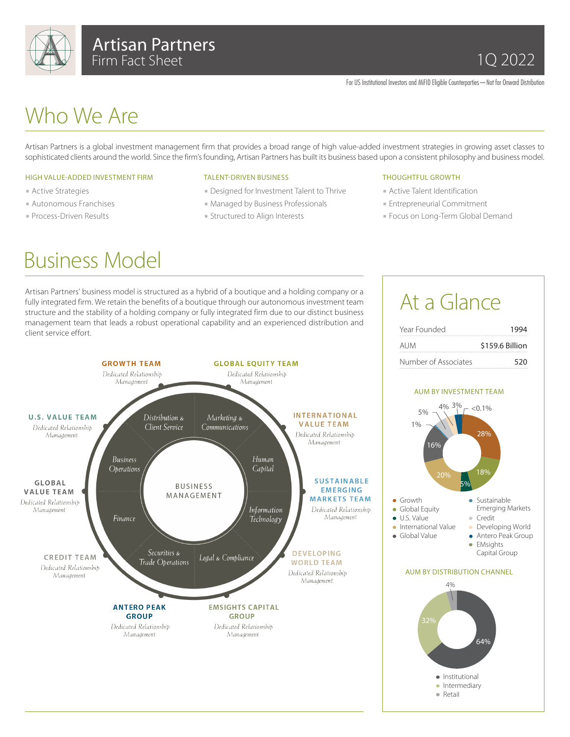

For US Institutional Investors and MiFID Eligible Counterparties—Not for Onward Distribution

# Who We Are

Artisan Partners is a global investment management firm that provides a broad range of high value-added investment strategies in growing asset classes to sophisticated clients around the world. Since the firm's founding, Artisan Partners has built its business based upon a consistent philosophy and business model.

### HIGH VALUE-ADDED INVESTMENT FIRM

- Active Strategies
- Autonomous Franchises
- Process-Driven Results

#### TALENT-DRIVEN BUSINESS

- Designed for Investment Talent to Thrive
- **Managed by Business Professionals**
- **Structured to Align Interests**

**GLOBAL EQUITY TEAM** 

Dedicated Relationship

### THOUGHTFUL GROWTH

- Active Talent Identification
- Entrepreneurial Commitment
- Focus on Long-Term Global Demand

# Business Model

**GROWTH TEAM** 

Dedicated Relationship

Artisan Partners' business model is structured as a hybrid of a boutique and a holding company or a fully integrated firm. We retain the benefits of a boutique through our autonomous investment team structure and the stability of a holding company or fully integrated firm due to our distinct business management team that leads a robust operational capability and an experienced distribution and client service effort.









■ International Value ■ Developing World<br>■ Global Value ● Antero Peak Group

5%

**Antero Peak Group** • EMsights Capital Group

18%

• Growth • Sustainable • Global Fquity **Emerging Markets** 

● U.S. Value ● Credit<br>● International Value ● Develo

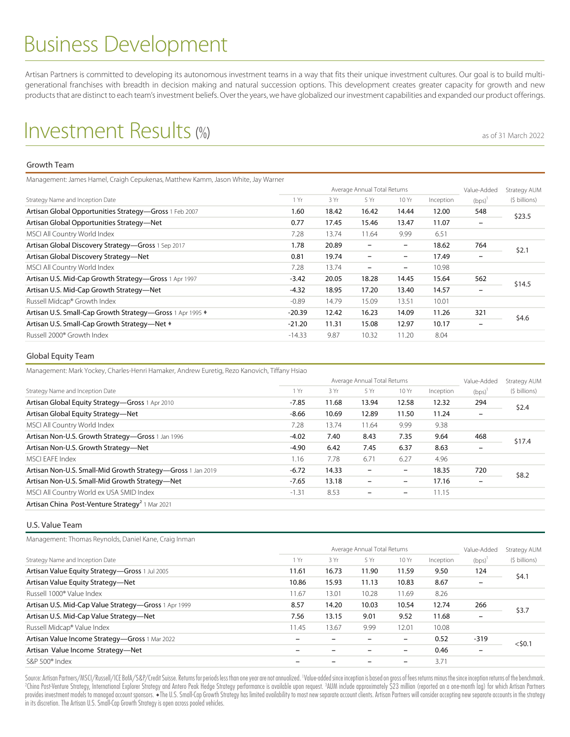## Business Development

Artisan Partners is committed to developing its autonomous investment teams in a way that fits their unique investment cultures. Our goal is to build multigenerational franchises with breadth in decision making and natural succession options. This development creates greater capacity for growth and new products that are distinct to each team's investment beliefs. Over the years, we have globalized our investment capabilities and expanded our product offerings.

## Investment Results (%)

#### Growth Team

Management: James Hamel, Craigh Cepukenas, Matthew Kamm, Jason White, Jay Warner

| Average Annual Total Returns                              |          |       |                          |                          |           | Value-Added | Strategy AUM  |
|-----------------------------------------------------------|----------|-------|--------------------------|--------------------------|-----------|-------------|---------------|
| Strategy Name and Inception Date                          | 1 Yr     | 3 Yr  | 5 Yr                     | 10 Yr                    | Inception | (bps)       | (\$ billions) |
| Artisan Global Opportunities Strategy-Gross 1 Feb 2007    | 1.60     | 18.42 | 16.42                    | 14.44                    | 12.00     | 548         | \$23.5        |
| Artisan Global Opportunities Strategy-Net                 | 0.77     | 17.45 | 15.46                    | 13.47                    | 11.07     |             |               |
| MSCI All Country World Index                              | 7.28     | 13.74 | 11.64                    | 9.99                     | 6.51      |             |               |
| Artisan Global Discovery Strategy-Gross 1 Sep 2017        | 1.78     | 20.89 |                          | $\overline{\phantom{m}}$ | 18.62     | 764         | \$2.1         |
| Artisan Global Discovery Strategy-Net                     | 0.81     | 19.74 | $\overline{\phantom{0}}$ | $\overline{\phantom{m}}$ | 17.49     |             |               |
| MSCI All Country World Index                              | 7.28     | 13.74 | $\overline{\phantom{a}}$ | $\overline{\phantom{0}}$ | 10.98     |             |               |
| Artisan U.S. Mid-Cap Growth Strategy-Gross 1 Apr 1997     | $-3.42$  | 20.05 | 18.28                    | 14.45                    | 15.64     | 562         | \$14.5        |
| Artisan U.S. Mid-Cap Growth Strategy-Net                  | $-4.32$  | 18.95 | 17.20                    | 13.40                    | 14.57     |             |               |
| Russell Midcap® Growth Index                              | $-0.89$  | 14.79 | 15.09                    | 13.51                    | 10.01     |             |               |
| Artisan U.S. Small-Cap Growth Strategy-Gross 1 Apr 1995 . | $-20.39$ | 12.42 | 16.23                    | 14.09                    | 11.26     | 321         | \$4.6         |
| Artisan U.S. Small-Cap Growth Strategy-Net +              | $-21.20$ | 11.31 | 15.08                    | 12.97                    | 10.17     |             |               |
| Russell 2000 <sup>®</sup> Growth Index                    | $-14.33$ | 9.87  | 10.32                    | 11.20                    | 8.04      |             |               |
|                                                           |          |       |                          |                          |           |             |               |

#### Global Equity Team

Management: Mark Yockey, Charles-Henri Hamaker, Andrew Euretig, Rezo Kanovich, Tiffany Hsiao

|                                                             |         | Average Annual Total Returns | Value-Added | Strategy AUM             |           |       |               |
|-------------------------------------------------------------|---------|------------------------------|-------------|--------------------------|-----------|-------|---------------|
| Strategy Name and Inception Date                            | I Yr    | 3 Yr                         | 5 Yr        | 10 Yr                    | Inception | (bps) | (\$ billions) |
| Artisan Global Equity Strategy-Gross 1 Apr 2010             | $-7.85$ | 11.68                        | 13.94       | 12.58                    | 12.32     | 294   | \$2.4         |
| Artisan Global Equity Strategy-Net                          | $-8.66$ | 10.69                        | 12.89       | 11.50                    | 11.24     |       |               |
| MSCI All Country World Index                                | 7.28    | 13.74                        | 11.64       | 9.99                     | 9.38      |       |               |
| Artisan Non-U.S. Growth Strategy-Gross 1 Jan 1996           | $-4.02$ | 7.40                         | 8.43        | 7.35                     | 9.64      | 468   | \$17.4        |
| Artisan Non-U.S. Growth Strategy-Net                        | $-4.90$ | 6.42                         | 7.45        | 6.37                     | 8.63      |       |               |
| MSCI EAFE Index                                             | 1.16    | 7.78                         | 6.71        | 6.27                     | 4.96      |       |               |
| Artisan Non-U.S. Small-Mid Growth Strategy—Gross 1 Jan 2019 | $-6.72$ | 14.33                        | -           | $\overline{\phantom{a}}$ | 18.35     | 720   | \$8.2         |
| Artisan Non-U.S. Small-Mid Growth Strategy-Net              | $-7.65$ | 13.18                        | -           | $\overline{\phantom{m}}$ | 17.16     |       |               |
| MSCI All Country World ex USA SMID Index                    | $-1.31$ | 8.53                         | -           | $\overline{\phantom{a}}$ | 11.15     |       |               |
| Artisan China Post-Venture Strategy <sup>2</sup> 1 Mar 2021 |         |                              |             |                          |           |       |               |

#### U.S. Value Team

Management: Thomas Reynolds, Daniel Kane, Craig Inman

|                                                      | Average Annual Total Returns |       |       |                          |           | Value-Added              | Strategy AUM  |
|------------------------------------------------------|------------------------------|-------|-------|--------------------------|-----------|--------------------------|---------------|
| Strategy Name and Inception Date                     | 1 Yr                         | 3 Yr  | 5 Yr  | 10 Yr                    | Inception | (bps)'                   | (\$ billions) |
| Artisan Value Equity Strategy-Gross 1 Jul 2005       | 11.61                        | 16.73 | 11.90 | 11.59                    | 9.50      | 124                      | 54.1          |
| Artisan Value Equity Strategy—Net                    | 10.86                        | 15.93 | 11.13 | 10.83                    | 8.67      |                          |               |
| Russell 1000 <sup>®</sup> Value Index                | 11.67                        | 13.01 | 10.28 | 11.69                    | 8.26      |                          |               |
| Artisan U.S. Mid-Cap Value Strategy-Gross 1 Apr 1999 | 8.57                         | 14.20 | 10.03 | 10.54                    | 12.74     | 266                      | \$3.7         |
| Artisan U.S. Mid-Cap Value Strategy-Net              | 7.56                         | 13.15 | 9.01  | 9.52                     | 11.68     | $\overline{\phantom{m}}$ |               |
| Russell Midcap® Value Index                          | 11.45                        | 13.67 | 9.99  | 12.01                    | 10.08     |                          |               |
| Artisan Value Income Strategy-Gross 1 Mar 2022       |                              | -     |       | $\overline{\phantom{a}}$ | 0.52      | $-319$                   |               |
| Artisan Value Income Strategy-Net                    |                              | -     | -     | $\overline{\phantom{a}}$ | 0.46      | $\overline{\phantom{m}}$ | $<$ 50.1      |
| $SRP 500°$ Index                                     |                              |       |       |                          | 3.71      |                          |               |

Source: Artisan Partners/MSCI/Russell/ICE BofA/S&P/Credit Suisse. Returns for periods less than one year are not annualized. 'Value-added since inception is based on gross of fees returns minus the since inception returns 2China Post-Venture Strategy, International Explorer Strategy and Antero Peak Hedge Strategy performance is available upon request. 3AUM include approximately \$23 million (reported on a one-month lag) for which Artisan Par provides investment models to managed account sponsors. . The U.S. Small-Cap Growth Strategy has limited availability to most new separate account clients. Artisan Partners will consider accepting new separate accounts in in its discretion. The Artisan U.S. Small-Cap Growth Strategy is open across pooled vehicles.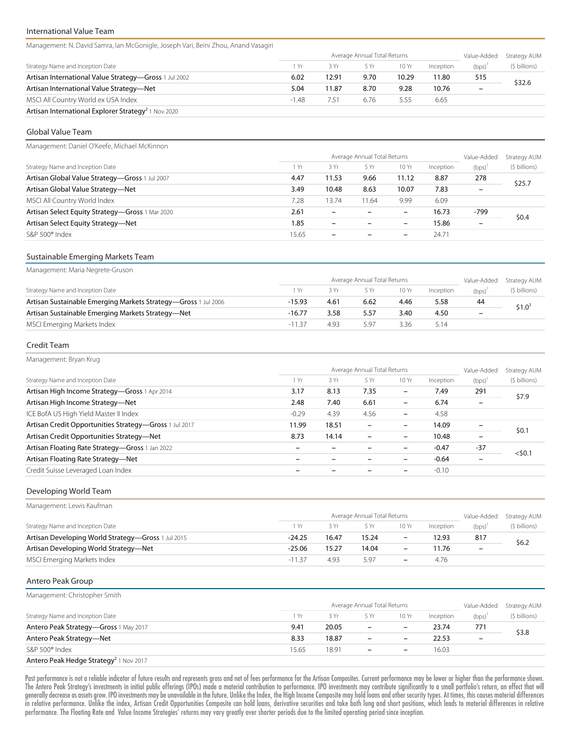#### International Value Team

Management: N. David Samra, Ian McGonigle, Joseph Vari, Beini Zhou, Anand Vasagiri

|                                                                        |         | Average Annual Total Returns | Value-Added | Strategy AUM |           |                          |               |
|------------------------------------------------------------------------|---------|------------------------------|-------------|--------------|-----------|--------------------------|---------------|
| Strategy Name and Inception Date                                       | i Yr    | 3 Yr                         | 5 Yr        | 10 Yr        | Inception | (bps)                    | (\$ billions) |
| Artisan International Value Strategy-Gross 1 Jul 2002                  | 6.02    | 12.91                        | 9.70        | 10.29        | 11.80     | 515                      | \$32.6        |
| Artisan International Value Strategy-Net                               | 5.04    | 11.87                        | 8.70        | 9.28         | 10.76     | $\overline{\phantom{a}}$ |               |
| MSCI All Country World ex USA Index                                    | $-1.48$ | 7.51                         | 6.76        | 5.55         | 6.65      |                          |               |
| <b>Artisan International Explorer Strategy</b> <sup>2</sup> 1 Nov 2020 |         |                              |             |              |           |                          |               |

#### Global Value Team

Management: Daniel O'Keefe, Michael McKinnon

|                                                 |       | Value-Added              | Strategy AUM |                          |           |                          |               |
|-------------------------------------------------|-------|--------------------------|--------------|--------------------------|-----------|--------------------------|---------------|
| Strategy Name and Inception Date                | 1 Yr  | 3 Yr                     | 5 Yr         | 10 Yr                    | Inception | (bps)                    | (\$ billions) |
| Artisan Global Value Strategy-Gross 1 Jul 2007  | 4.47  | 11.53                    | 9.66         | 11.12                    | 8.87      | 278                      | \$25.7        |
| Artisan Global Value Strategy-Net               | 3.49  | 10.48                    | 8.63         | 10.07                    | 7.83      | $\overline{\phantom{a}}$ |               |
| MSCI All Country World Index                    | 7.28  | 3.74                     | 1.64         | 9.99                     | 6.09      |                          |               |
| Artisan Select Equity Strategy-Gross 1 Mar 2020 | 2.61  | $\overline{\phantom{a}}$ |              | -                        | 16.73     | -799                     | \$0.4         |
| Artisan Select Equity Strategy-Net              | 1.85  | $\overline{\phantom{a}}$ | -            | $\overline{\phantom{0}}$ | 15.86     |                          |               |
| S&P 500 <sup>®</sup> Index                      | 15.65 | $\overline{\phantom{a}}$ |              | $\overline{\phantom{a}}$ | 24.71     |                          |               |

### Sustainable Emerging Markets Team

| Management: Maria Negrete-Gruson                               |                              |      |      |       |           |                          |                    |
|----------------------------------------------------------------|------------------------------|------|------|-------|-----------|--------------------------|--------------------|
|                                                                | Average Annual Total Returns |      |      |       |           | Value-Added              | Strategy AUM       |
| Strategy Name and Inception Date                               | i Yr                         | 3 Yr | 5 Yr | 10 Yr | Inception | (bps)                    | (\$ billions)      |
| Artisan Sustainable Emerging Markets Strategy—Gross 1 Jul 2006 | $-15.93$                     | 4.61 | 6.62 | 4.46  | 5.58      | 44                       | \$1.0 <sup>3</sup> |
| Artisan Sustainable Emerging Markets Strategy-Net              | $-16.77$                     | 3.58 | 5.57 | 3.40  | 4.50      | $\overline{\phantom{m}}$ |                    |
| MSCI Emerging Markets Index                                    | $-11.37$                     | 4.93 | 5.97 | 3.36  | 5.14      |                          |                    |

#### Credit Team

Management: Bryan Krug

|                                                        |         | Value-Added              | Strategy AUM             |                          |           |                          |               |
|--------------------------------------------------------|---------|--------------------------|--------------------------|--------------------------|-----------|--------------------------|---------------|
| Strategy Name and Inception Date                       | 1 Yr    | 3 Yr                     | 5 Yr                     | 10 Yr                    | Inception | $(bps)^{1}$              | (\$ billions) |
| Artisan High Income Strategy-Gross 1 Apr 2014          | 3.17    | 8.13                     | 7.35                     | $\overline{\phantom{0}}$ | 7.49      | 291                      | \$7.9         |
| Artisan High Income Strategy-Net                       | 2.48    | 7.40                     | 6.61                     | $\overline{\phantom{a}}$ | 6.74      |                          |               |
| ICE BofA US High Yield Master II Index                 | $-0.29$ | 4.39                     | 4.56                     | $\overline{\phantom{a}}$ | 4.58      |                          |               |
| Artisan Credit Opportunities Strategy-Gross 1 Jul 2017 | 11.99   | 18.51                    | $\overline{\phantom{a}}$ | $\overline{\phantom{0}}$ | 14.09     | $\overline{\phantom{m}}$ | \$0.1         |
| Artisan Credit Opportunities Strategy-Net              | 8.73    | 14.14                    |                          | $\overline{\phantom{a}}$ | 10.48     |                          |               |
| Artisan Floating Rate Strategy-Gross 1 Jan 2022        |         | $\overline{\phantom{a}}$ |                          | $\overline{\phantom{a}}$ | $-0.47$   | $-37$                    | $<$ \$0.1     |
| Artisan Floating Rate Strategy-Net                     |         | $\overline{\phantom{a}}$ |                          | $\overline{\phantom{a}}$ | $-0.64$   |                          |               |
| Credit Suisse Leveraged Loan Index                     |         |                          |                          |                          | $-0.10$   |                          |               |

#### Developing World Team

| Management: Lewis Kaufman                          |          |                              |             |                          |           |                          |               |
|----------------------------------------------------|----------|------------------------------|-------------|--------------------------|-----------|--------------------------|---------------|
|                                                    |          | Average Annual Total Returns | Value-Added | Strategy AUM             |           |                          |               |
| Strategy Name and Inception Date                   | 1 Yr     | 3 Yr                         | 5 Yr        | 10 Yr                    | Inception | (bps)                    | (\$ billions) |
| Artisan Developing World Strategy-Gross 1 Jul 2015 | $-24.25$ | 16.47                        | 15.24       | $\overline{\phantom{a}}$ | 12.93     | 817                      | \$6.2         |
| Artisan Developing World Strategy-Net              | $-25.06$ | 15.27                        | 14.04       | $\overline{\phantom{a}}$ | 11.76     | $\overline{\phantom{a}}$ |               |
| MSCI Emerging Markets Index                        | $-11.37$ | 4.93                         | 5.97        | $\overline{\phantom{0}}$ | 4.76      |                          |               |

#### Antero Peak Group

| Management: Christopher Smith                      |                              |       |                          |                          |           |       |               |
|----------------------------------------------------|------------------------------|-------|--------------------------|--------------------------|-----------|-------|---------------|
|                                                    | Average Annual Total Returns |       |                          |                          |           |       | Strategy AUM  |
| Strategy Name and Inception Date                   | 1 Yr                         | 3 Yr  | 5 Yr                     | 10 Yr                    | Inception | (bps) | (\$ billions) |
| Antero Peak Strategy-Gross 1 May 2017              | 9.41                         | 20.05 | $\overline{\phantom{a}}$ | $\overline{\phantom{a}}$ | 23.74     | 771   | \$3.8         |
| Antero Peak Strategy-Net                           | 8.33                         | 18.87 | $\overline{\phantom{m}}$ | $\qquad \qquad$          | 22.53     | -     |               |
| S&P 500 <sup>®</sup> Index                         | 15.65                        | 18.91 | $\overline{\phantom{a}}$ | $\overline{\phantom{a}}$ | 16.03     |       |               |
| Antero Peak Hedge Strategy <sup>2</sup> 1 Nov 2017 |                              |       |                          |                          |           |       |               |

Past performance is not a reliable indicator of future results and represents gross and net of fees performance for the Artisan Composites. Current performance may be lower or higher than the performance shown. The Antero Peak Strategy's investments in initial public offerings (IPOs) made a material contribution to performance. IPO investments may contribute significantly to a small portfolio's return, an effect that will generally decrease as assets grow. IPO investments may be unavailable in the future. Unlike the Index, the High Income Composite may hold loans and other security types. At times, this causes material differences in relative performance. Unlike the index, Artisan Credit Opportunities Composite can hold loans, derivative securities and take both long and short positions, which leads to material differences in relative performance. The Floating Rate and Value Income Strategies' returns may vary greatly over shorter periods due to the limited operating period since inception.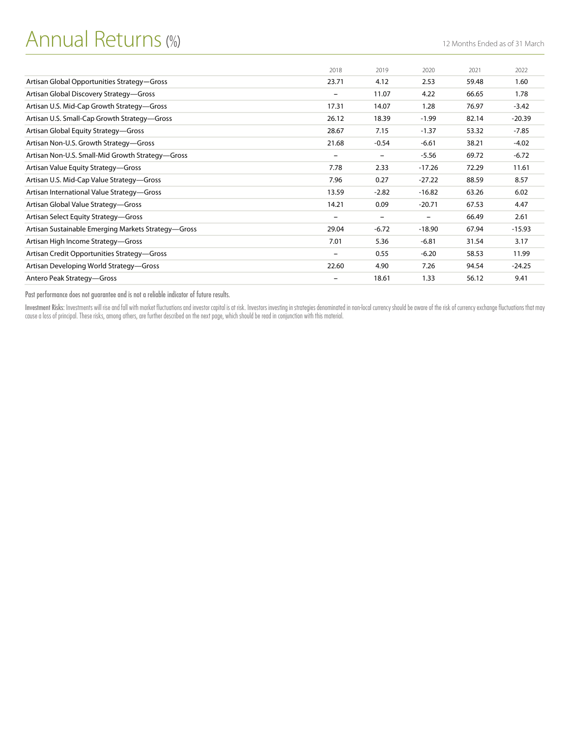## Annual Returns (%)

|                                                     | 2018                         | 2019                     | 2020                         | 2021  | 2022     |
|-----------------------------------------------------|------------------------------|--------------------------|------------------------------|-------|----------|
| Artisan Global Opportunities Strategy-Gross         | 23.71                        | 4.12                     | 2.53                         | 59.48 | 1.60     |
| Artisan Global Discovery Strategy-Gross             | $\overline{\phantom{a}}$     | 11.07                    | 4.22                         | 66.65 | 1.78     |
| Artisan U.S. Mid-Cap Growth Strategy—Gross          | 17.31                        | 14.07                    | 1.28                         | 76.97 | $-3.42$  |
| Artisan U.S. Small-Cap Growth Strategy-Gross        | 26.12                        | 18.39                    | $-1.99$                      | 82.14 | $-20.39$ |
| Artisan Global Equity Strategy—Gross                | 28.67                        | 7.15                     | $-1.37$                      | 53.32 | $-7.85$  |
| Artisan Non-U.S. Growth Strategy-Gross              | 21.68                        | $-0.54$                  | $-6.61$                      | 38.21 | $-4.02$  |
| Artisan Non-U.S. Small-Mid Growth Strategy-Gross    | $\qquad \qquad \blacksquare$ | $\overline{\phantom{a}}$ | $-5.56$                      | 69.72 | $-6.72$  |
| Artisan Value Equity Strategy—Gross                 | 7.78                         | 2.33                     | $-17.26$                     | 72.29 | 11.61    |
| Artisan U.S. Mid-Cap Value Strategy—Gross           | 7.96                         | 0.27                     | $-27.22$                     | 88.59 | 8.57     |
| Artisan International Value Strategy-Gross          | 13.59                        | $-2.82$                  | $-16.82$                     | 63.26 | 6.02     |
| Artisan Global Value Strategy-Gross                 | 14.21                        | 0.09                     | $-20.71$                     | 67.53 | 4.47     |
| Artisan Select Equity Strategy-Gross                | $\qquad \qquad \blacksquare$ | $\overline{\phantom{a}}$ | $\qquad \qquad \blacksquare$ | 66.49 | 2.61     |
| Artisan Sustainable Emerging Markets Strategy—Gross | 29.04                        | $-6.72$                  | $-18.90$                     | 67.94 | $-15.93$ |
| Artisan High Income Strategy—Gross                  | 7.01                         | 5.36                     | $-6.81$                      | 31.54 | 3.17     |
| Artisan Credit Opportunities Strategy—Gross         | -                            | 0.55                     | $-6.20$                      | 58.53 | 11.99    |
| Artisan Developing World Strategy-Gross             | 22.60                        | 4.90                     | 7.26                         | 94.54 | $-24.25$ |
| Antero Peak Strategy-Gross                          |                              | 18.61                    | 1.33                         | 56.12 | 9.41     |

Past performance does not guarantee and is not a reliable indicator of future results.

Investment Risks: Investments will rise and fall with market fluctuations and investor capital is at risk. Investors investing in strategies denominated in non-local currency should be aware of the risk of currency exchang cause a loss of principal. These risks, among others, are further described on the next page, which should be read in conjunction with this material.